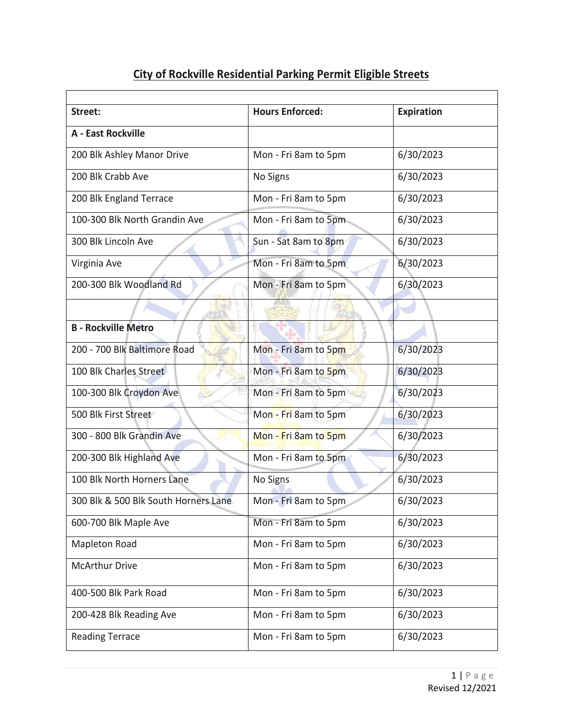| Street:                              | <b>Hours Enforced:</b> | <b>Expiration</b> |
|--------------------------------------|------------------------|-------------------|
| A - East Rockville                   |                        |                   |
| 200 Blk Ashley Manor Drive           | Mon - Fri 8am to 5pm   | 6/30/2023         |
| 200 Blk Crabb Ave                    | No Signs               | 6/30/2023         |
| 200 Blk England Terrace              | Mon - Fri 8am to 5pm   | 6/30/2023         |
| 100-300 Blk North Grandin Ave        | Mon - Fri 8am to 5pm   | 6/30/2023         |
| 300 Blk Lincoln Ave                  | Sun - Sat 8am to 8pm   | 6/30/2023         |
| Virginia Ave                         | Mon - Fri 8am to 5pm   | 6/30/2023         |
| 200-300 Blk Woodland Rd              | Mon - Fri 8am to 5pm   | 6/30/2023         |
|                                      |                        |                   |
| <b>B - Rockville Metro</b>           |                        |                   |
| 200 - 700 Blk Baltimore Road         | Mon - Fri 8am to 5pm   | 6/30/2023         |
| 100 Blk Charles Street               | Mon - Fri 8am to 5pm   | 6/30/2023         |
| 100-300 Blk Croydon Ave              | Mon - Fri 8am to 5pm   | 6/30/2023         |
| 500 Blk First Street                 | Mon - Fri 8am to 5pm   | 6/30/2023         |
| 300 - 800 Blk Grandin Ave            | Mon - Fri 8am to 5pm   | 6/30/2023         |
| 200-300 Blk Highland Ave             | Mon - Fri 8am to 5pm   | 6/30/2023         |
| 100 Blk North Horners Lane           | No Signs               | 6/30/2023         |
| 300 Blk & 500 Blk South Horners Lane | Mon - Fri 8am to 5pm   | 6/30/2023         |
| 600-700 Blk Maple Ave                | Mon - Fri 8am to 5pm   | 6/30/2023         |
| <b>Mapleton Road</b>                 | Mon - Fri 8am to 5pm   | 6/30/2023         |
| <b>McArthur Drive</b>                | Mon - Fri 8am to 5pm   | 6/30/2023         |
| 400-500 Blk Park Road                | Mon - Fri 8am to 5pm   | 6/30/2023         |
| 200-428 Blk Reading Ave              | Mon - Fri 8am to 5pm   | 6/30/2023         |
| <b>Reading Terrace</b>               | Mon - Fri 8am to 5pm   | 6/30/2023         |

## **City of Rockville Residential Parking Permit Eligible Streets**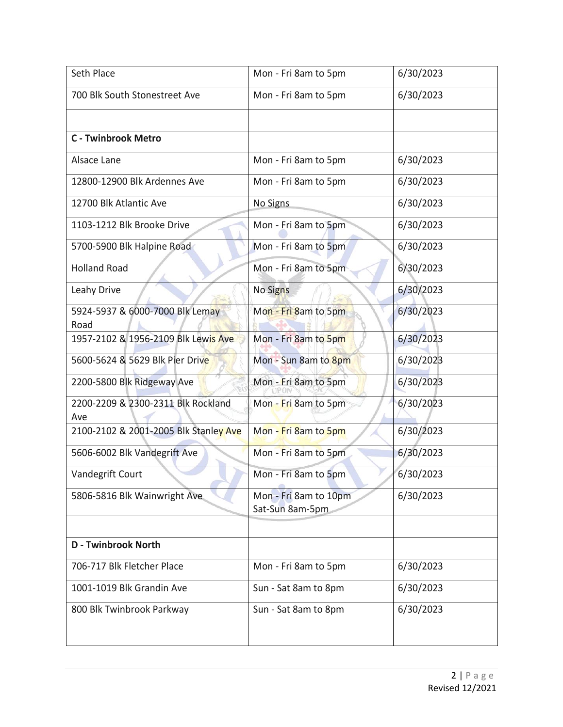| Seth Place                                | Mon - Fri 8am to 5pm                     | 6/30/2023 |
|-------------------------------------------|------------------------------------------|-----------|
| 700 Blk South Stonestreet Ave             | Mon - Fri 8am to 5pm                     | 6/30/2023 |
|                                           |                                          |           |
| <b>C</b> - Twinbrook Metro                |                                          |           |
| Alsace Lane                               | Mon - Fri 8am to 5pm                     | 6/30/2023 |
| 12800-12900 Blk Ardennes Ave              | Mon - Fri 8am to 5pm                     | 6/30/2023 |
| 12700 Blk Atlantic Ave                    | No Signs                                 | 6/30/2023 |
| 1103-1212 Blk Brooke Drive                | Mon - Fri 8am to 5pm                     | 6/30/2023 |
| 5700-5900 Blk Halpine Road                | Mon - Fri 8am to 5pm                     | 6/30/2023 |
| <b>Holland Road</b>                       | Mon - Fri 8am to 5pm                     | 6/30/2023 |
| Leahy Drive                               | No Signs                                 | 6/30/2023 |
| 5924-5937 & 6000-7000 Blk Lemay<br>Road   | Mon - Fri 8am to 5pm                     | 6/30/2023 |
| 1957-2102 & 1956-2109 Blk Lewis Ave       | Mon - Fri 8am to 5pm                     | 6/30/2023 |
| 5600-5624 & 5629 Blk Pier Drive           | Mon - Sun 8am to 8pm                     | 6/30/2023 |
| 2200-5800 Blk Ridgeway Ave                | Mon - Fri 8am to 5pm                     | 6/30/2023 |
| 2200-2209 & 2300-2311 Blk Rockland<br>Ave | Mon - Fri 8am to 5pm                     | 6/30/2023 |
| 2100-2102 & 2001-2005 Blk Stanley Ave     | Mon - Fri 8am to 5pm                     | 6/30/2023 |
| 5606-6002 Blk Vandegrift Ave              | Mon - Fri 8am to 5pm                     | 6/30/2023 |
| Vandegrift Court                          | Mon - Fri 8am to 5pm                     | 6/30/2023 |
| 5806-5816 Blk Wainwright Ave              | Mon - Fri 8am to 10pm<br>Sat-Sun 8am-5pm | 6/30/2023 |
|                                           |                                          |           |
| <b>D</b> - Twinbrook North                |                                          |           |
| 706-717 Blk Fletcher Place                | Mon - Fri 8am to 5pm                     | 6/30/2023 |
| 1001-1019 Blk Grandin Ave                 | Sun - Sat 8am to 8pm                     | 6/30/2023 |
| 800 Blk Twinbrook Parkway                 | Sun - Sat 8am to 8pm                     | 6/30/2023 |
|                                           |                                          |           |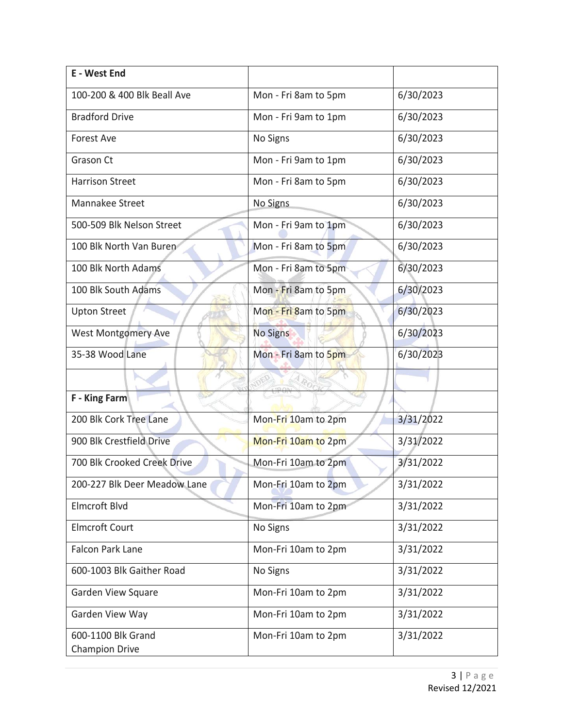| E - West End                                |                      |           |
|---------------------------------------------|----------------------|-----------|
| 100-200 & 400 Blk Beall Ave                 | Mon - Fri 8am to 5pm | 6/30/2023 |
| <b>Bradford Drive</b>                       | Mon - Fri 9am to 1pm | 6/30/2023 |
| Forest Ave                                  | No Signs             | 6/30/2023 |
| Grason Ct                                   | Mon - Fri 9am to 1pm | 6/30/2023 |
| <b>Harrison Street</b>                      | Mon - Fri 8am to 5pm | 6/30/2023 |
| Mannakee Street                             | No Signs             | 6/30/2023 |
| 500-509 Blk Nelson Street                   | Mon - Fri 9am to 1pm | 6/30/2023 |
| 100 Blk North Van Buren                     | Mon - Fri 8am to 5pm | 6/30/2023 |
| 100 Blk North Adams                         | Mon - Fri 8am to 5pm | 6/30/2023 |
| 100 Blk South Adams                         | Mon - Fri 8am to 5pm | 6/30/2023 |
| <b>Upton Street</b>                         | Mon - Fri 8am to 5pm | 6/30/2023 |
| <b>West Montgomery Ave</b>                  | <b>No Signs</b>      | 6/30/2023 |
| 35-38 Wood Lane                             | Mon - Fri 8am to 5pm | 6/30/2023 |
|                                             |                      |           |
| F - King Farm                               |                      |           |
| 200 Blk Cork Tree Lane                      | Mon-Fri 10am to 2pm  | 3/31/2022 |
| 900 Blk Crestfield Drive                    | Mon-Fri 10am to 2pm  | 3/31/2022 |
| 700 Blk Crooked Creek Drive                 | Mon-Fri 10am to 2pm  | 3/31/2022 |
| 200-227 Blk Deer Meadow Lane                | Mon-Fri 10am to 2pm  | 3/31/2022 |
| Elmcroft Blvd                               | Mon-Fri 10am to 2pm  | 3/31/2022 |
| <b>Elmcroft Court</b>                       | No Signs             | 3/31/2022 |
| Falcon Park Lane                            | Mon-Fri 10am to 2pm  | 3/31/2022 |
| 600-1003 Blk Gaither Road                   | No Signs             | 3/31/2022 |
| Garden View Square                          | Mon-Fri 10am to 2pm  | 3/31/2022 |
| Garden View Way                             | Mon-Fri 10am to 2pm  | 3/31/2022 |
| 600-1100 Blk Grand<br><b>Champion Drive</b> | Mon-Fri 10am to 2pm  | 3/31/2022 |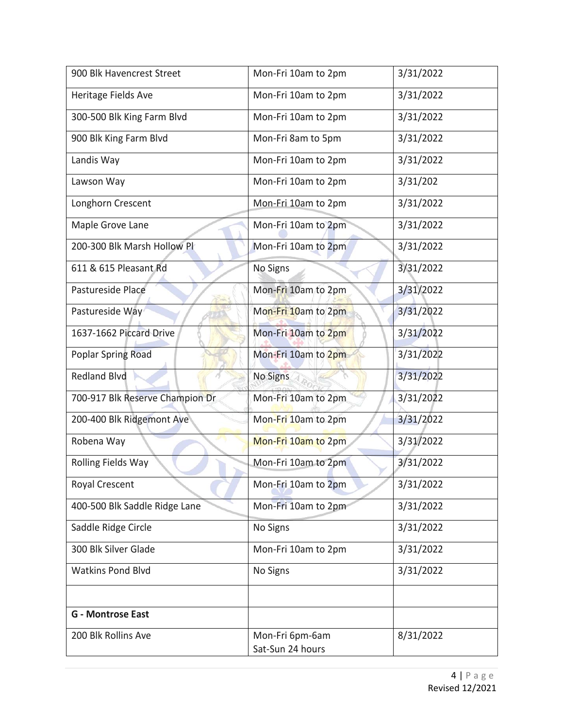| 900 Blk Havencrest Street       | Mon-Fri 10am to 2pm                 | 3/31/2022 |
|---------------------------------|-------------------------------------|-----------|
| Heritage Fields Ave             | Mon-Fri 10am to 2pm                 | 3/31/2022 |
| 300-500 Blk King Farm Blvd      | Mon-Fri 10am to 2pm                 | 3/31/2022 |
| 900 Blk King Farm Blvd          | Mon-Fri 8am to 5pm                  | 3/31/2022 |
| Landis Way                      | Mon-Fri 10am to 2pm                 | 3/31/2022 |
| Lawson Way                      | Mon-Fri 10am to 2pm                 | 3/31/202  |
| Longhorn Crescent               | Mon-Fri 10am to 2pm                 | 3/31/2022 |
| Maple Grove Lane                | Mon-Fri 10am to 2pm                 | 3/31/2022 |
| 200-300 Blk Marsh Hollow Pl     | Mon-Fri 10am to 2pm                 | 3/31/2022 |
| 611 & 615 Pleasant Rd           | No Signs                            | 3/31/2022 |
| Pastureside Place               | Mon-Fri 10am to 2pm                 | 3/31/2022 |
| Pastureside Way                 | Mon-Fri 10am to 2pm                 | 3/31/2022 |
| 1637-1662 Piccard Drive         | Mon-Fri 10am to 2pm                 | 3/31/2022 |
| Poplar Spring Road              | Mon-Fri 10am to 2pm                 | 3/31/2022 |
| <b>Redland Blvd</b>             | <b>No Signs</b>                     | 3/31/2022 |
| 700-917 Blk Reserve Champion Dr | Mon-Fri 10am to 2pm                 | 3/31/2022 |
| 200-400 Blk Ridgemont Ave       | Mon-Fri 10am to 2pm                 | 3/31/2022 |
| Robena Way                      | Mon-Fri 10am to 2pm                 | 3/31/2022 |
| Rolling Fields Way              | Mon-Fri 10am to 2pm                 | 3/31/2022 |
| Royal Crescent                  | Mon-Fri 10am to 2pm                 | 3/31/2022 |
| 400-500 Blk Saddle Ridge Lane   | Mon-Fri 10am to 2pm                 | 3/31/2022 |
| Saddle Ridge Circle             | No Signs                            | 3/31/2022 |
| 300 Blk Silver Glade            | Mon-Fri 10am to 2pm                 | 3/31/2022 |
| <b>Watkins Pond Blvd</b>        | No Signs                            | 3/31/2022 |
| <b>G</b> - Montrose East        |                                     |           |
| 200 Blk Rollins Ave             | Mon-Fri 6pm-6am<br>Sat-Sun 24 hours | 8/31/2022 |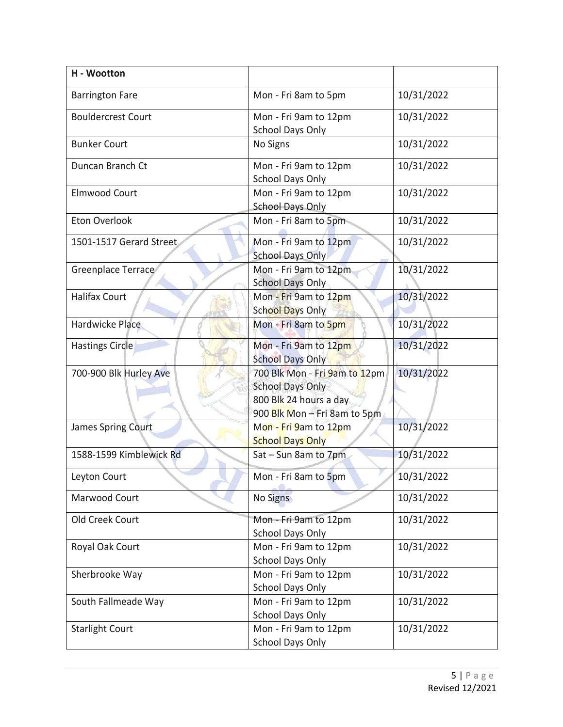| H - Wootton               |                                                                                                                    |            |
|---------------------------|--------------------------------------------------------------------------------------------------------------------|------------|
| <b>Barrington Fare</b>    | Mon - Fri 8am to 5pm                                                                                               | 10/31/2022 |
| <b>Bouldercrest Court</b> | Mon - Fri 9am to 12pm<br>School Days Only                                                                          | 10/31/2022 |
| <b>Bunker Court</b>       | No Signs                                                                                                           | 10/31/2022 |
| Duncan Branch Ct          | Mon - Fri 9am to 12pm<br>School Days Only                                                                          | 10/31/2022 |
| <b>Elmwood Court</b>      | Mon - Fri 9am to 12pm<br><b>School Days Only</b>                                                                   | 10/31/2022 |
| Eton Overlook             | Mon - Fri 8am to 5pm                                                                                               | 10/31/2022 |
| 1501-1517 Gerard Street   | Mon - Fri 9am to 12pm<br><b>School Days Only</b>                                                                   | 10/31/2022 |
| Greenplace Terrace        | Mon - Fri 9am to 12pm<br><b>School Days Only</b>                                                                   | 10/31/2022 |
| <b>Halifax Court</b>      | Mon - Fri 9am to 12pm<br><b>School Days Only</b>                                                                   | 10/31/2022 |
| Hardwicke Place           | Mon - Fri 8am to 5pm                                                                                               | 10/31/2022 |
| Hastings Circle           | Mon - Fri 9am to 12pm<br><b>School Days Only</b>                                                                   | 10/31/2022 |
| 700-900 Blk Hurley Ave    | 700 Blk Mon - Fri 9am to 12pm<br><b>School Days Only</b><br>800 Blk 24 hours a day<br>900 Blk Mon - Fri 8am to 5pm | 10/31/2022 |
| James Spring Court        | Mon - Fri 9am to 12pm<br><b>School Days Only</b>                                                                   | 10/31/2022 |
| 1588-1599 Kimblewick Rd   | Sat - Sun 8am to 7pm                                                                                               | 10/31/2022 |
| Leyton Court              | Mon - Fri 8am to 5pm                                                                                               | 10/31/2022 |
| Marwood Court             | No Signs                                                                                                           | 10/31/2022 |
| Old Creek Court           | Mon - Fri 9am to 12pm<br>School Days Only                                                                          | 10/31/2022 |
| Royal Oak Court           | Mon - Fri 9am to 12pm<br>School Days Only                                                                          | 10/31/2022 |
| Sherbrooke Way            | Mon - Fri 9am to 12pm<br>School Days Only                                                                          | 10/31/2022 |
| South Fallmeade Way       | Mon - Fri 9am to 12pm<br>School Days Only                                                                          | 10/31/2022 |
| <b>Starlight Court</b>    | Mon - Fri 9am to 12pm<br>School Days Only                                                                          | 10/31/2022 |